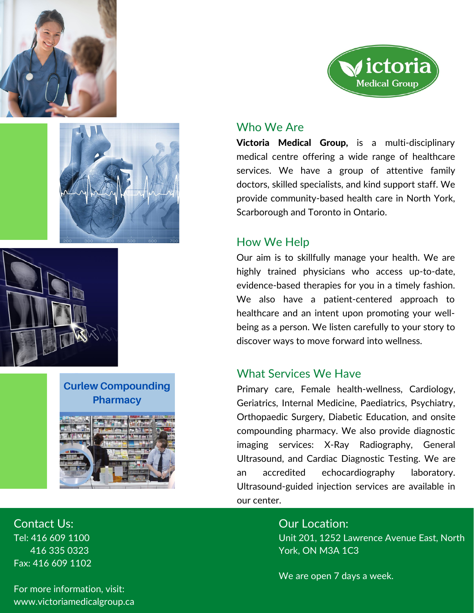





**Curlew Compounding Pharmacy**



√ictoria **Medical Group** 

### Who We Are

Victoria Medical Group, is a multi-disciplinary medical centre offering a wide range of healthcare services. We have a group of attentive family doctors, skilled specialists, and kind support staff. We provide community-based health care in North York, Scarborough and Toronto in Ontario.

## How We Help

Our aim is to skillfully manage your health. We are highly trained physicians who access up-to-date, evidence-based therapies for you in a timely fashion. We also have a patient-centered approach to healthcare and an intent upon promoting your wellbeing as a person. We listen carefully to your story to discover ways to move forward into wellness.

# What Services We Have

Primary care, Female health-wellness, Cardiology, Geriatrics, Internal Medicine, Paediatrics, Psychiatry, Orthopaedic Surgery, Diabetic Education, and onsite compounding pharmacy. We also provide diagnostic imaging services: X-Ray Radiography, General Ultrasound, and Cardiac Diagnostic Testing. We are an accredited echocardiography laboratory. Ultrasound-guided injection services are available in our center.

> Our Location: Unit 201, 1252 Lawrence Avenue East, North York, ON M3A 1C3

We are open 7 days a week.

Contact Us: Tel: 416 609 1100 416 335 0323 Fax: 416 609 1102

For more information, visit: www.victoriamedicalgroup.ca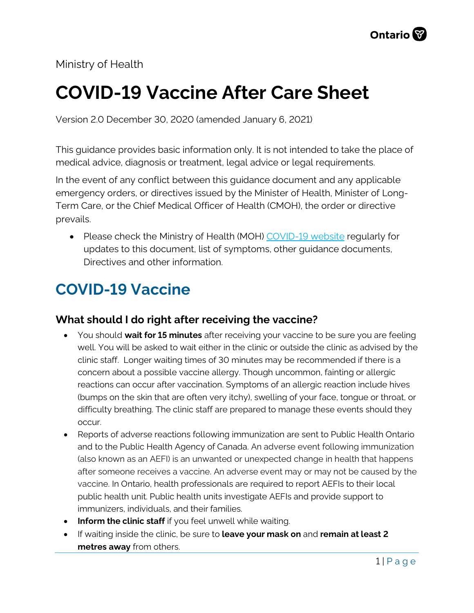Ministry of Health

# **COVID-19 Vaccine After Care Sheet**

Version 2.0 December 30, 2020 (amended January 6, 2021)

This guidance provides basic information only. It is not intended to take the place of medical advice, diagnosis or treatment, legal advice or legal requirements.

In the event of any conflict between this guidance document and any applicable emergency orders, or directives issued by the Minister of Health, Minister of Long-Term Care, or the Chief Medical Officer of Health (CMOH), the order or directive prevails.

• Please check the Ministry of Health (MOH) [COVID-19 website](http://www.health.gov.on.ca/en/pro/programs/publichealth/coronavirus/2019_guidance.aspx) regularly for updates to this document, list of symptoms, other guidance documents, Directives and other information.

# **COVID-19 Vaccine**

### **What should I do right after receiving the vaccine?**

- You should **wait for 15 minutes** after receiving your vaccine to be sure you are feeling well. You will be asked to wait either in the clinic or outside the clinic as advised by the clinic staff. Longer waiting times of 30 minutes may be recommended if there is a concern about a possible vaccine allergy. Though uncommon, fainting or allergic reactions can occur after vaccination. Symptoms of an allergic reaction include hives (bumps on the skin that are often very itchy), swelling of your face, tongue or throat, or difficulty breathing. The clinic staff are prepared to manage these events should they occur.
- Reports of adverse reactions following immunization are sent to Public Health Ontario and to the Public Health Agency of Canada. An adverse event following immunization (also known as an AEFI) is an unwanted or unexpected change in health that happens after someone receives a vaccine. An adverse event may or may not be caused by the vaccine. In Ontario, health professionals are required to report AEFIs to their local public health unit. Public health units investigate AEFIs and provide support to immunizers, individuals, and their families.
- **Inform the clinic staff** if you feel unwell while waiting.
- If waiting inside the clinic, be sure to **leave your mask on** and **remain at least 2 metres away** from others.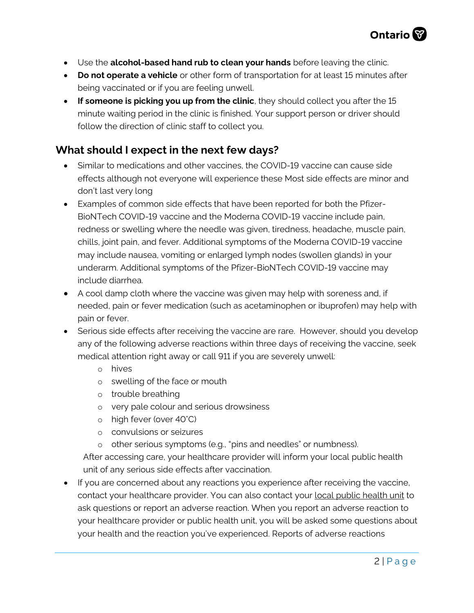- Use the **alcohol-based hand rub to clean your hands** before leaving the clinic.
- **Do not operate a vehicle** or other form of transportation for at least 15 minutes after being vaccinated or if you are feeling unwell.
- **If someone is picking you up from the clinic**, they should collect you after the 15 minute waiting period in the clinic is finished. Your support person or driver should follow the direction of clinic staff to collect you.

### **What should I expect in the next few days?**

- Similar to medications and other vaccines, the COVID-19 vaccine can cause side effects although not everyone will experience these Most side effects are minor and don't last very long
- Examples of common side effects that have been reported for both the Pfizer-BioNTech COVID-19 vaccine and the Moderna COVID-19 vaccine include pain, redness or swelling where the needle was given, tiredness, headache, muscle pain, chills, joint pain, and fever. Additional symptoms of the Moderna COVID-19 vaccine may include nausea, vomiting or enlarged lymph nodes (swollen glands) in your underarm. Additional symptoms of the Pfizer-BioNTech COVID-19 vaccine may include diarrhea.
- A cool damp cloth where the vaccine was given may help with soreness and, if needed, pain or fever medication (such as acetaminophen or ibuprofen) may help with pain or fever.
- Serious side effects after receiving the vaccine are rare. However, should you develop any of the following adverse reactions within three days of receiving the vaccine, seek medical attention right away or call 911 if you are severely unwell:
	- o hives
	- o swelling of the face or mouth
	- o trouble breathing
	- o very pale colour and serious drowsiness
	- o high fever (over 40°C)
	- o convulsions or seizures
	- o other serious symptoms (e.g., "pins and needles" or numbness).

After accessing care, your healthcare provider will inform your local public health unit of any serious side effects after vaccination.

• If you are concerned about any reactions you experience after receiving the vaccine, contact your healthcare provider. You can also contact your [local public health unit](https://www.phdapps.health.gov.on.ca/phulocator/) to ask questions or report an adverse reaction. When you report an adverse reaction to your healthcare provider or public health unit, you will be asked some questions about your health and the reaction you've experienced. Reports of adverse reactions